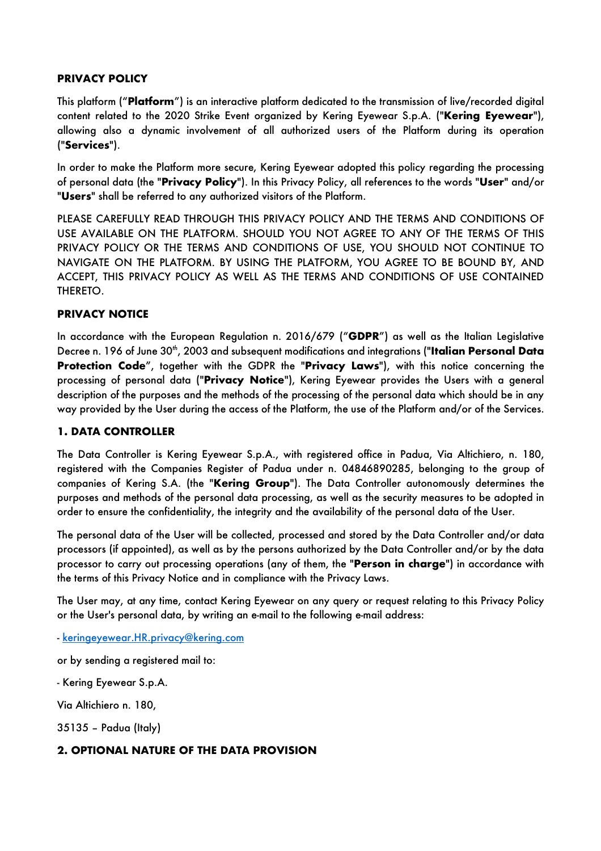### **PRIVACY POLICY**

This platform ("**Platform**") is an interactive platform dedicated to the transmission of live/recorded digital content related to the 2020 Strike Event organized by Kering Eyewear S.p.A. ("**Kering Eyewear**"), allowing also a dynamic involvement of all authorized users of the Platform during its operation ("**Services**").

In order to make the Platform more secure, Kering Eyewear adopted this policy regarding the processing of personal data (the "**Privacy Policy**"). In this Privacy Policy, all references to the words "**User**" and/or "**Users**" shall be referred to any authorized visitors of the Platform.

PLEASE CAREFULLY READ THROUGH THIS PRIVACY POLICY AND THE TERMS AND CONDITIONS OF USE AVAILABLE ON THE PLATFORM. SHOULD YOU NOT AGREE TO ANY OF THE TERMS OF THIS PRIVACY POLICY OR THE TERMS AND CONDITIONS OF USE, YOU SHOULD NOT CONTINUE TO NAVIGATE ON THE PLATFORM. BY USING THE PLATFORM, YOU AGREE TO BE BOUND BY, AND ACCEPT, THIS PRIVACY POLICY AS WELL AS THE TERMS AND CONDITIONS OF USE CONTAINED THERETO.

## **PRIVACY NOTICE**

In accordance with the European Regulation n. 2016/679 ("**GDPR**") as well as the Italian Legislative Decree n. 196 of June 30*th*, 2003 and subsequent modifications and integrations ("**Italian Personal Data Protection Code**", together with the GDPR the "**Privacy Laws**"), with this notice concerning the processing of personal data ("**Privacy Notice**"), Kering Eyewear provides the Users with a general description of the purposes and the methods of the processing of the personal data which should be in any way provided by the User during the access of the Platform, the use of the Platform and/or of the Services.

### **1. DATA CONTROLLER**

The Data Controller is Kering Eyewear S.p.A., with registered office in Padua, Via Altichiero, n. 180, registered with the Companies Register of Padua under n. 04846890285, belonging to the group of companies of Kering S.A. (the "**Kering Group**"). The Data Controller autonomously determines the purposes and methods of the personal data processing, as well as the security measures to be adopted in order to ensure the confidentiality, the integrity and the availability of the personal data of the User.

The personal data of the User will be collected, processed and stored by the Data Controller and/or data processors (if appointed), as well as by the persons authorized by the Data Controller and/or by the data processor to carry out processing operations (any of them, the "**Person in charge**") in accordance with the terms of this Privacy Notice and in compliance with the Privacy Laws.

The User may, at any time, contact Kering Eyewear on any query or request relating to this Privacy Policy or the User's personal data, by writing an e-mail to the following e-mail address:

- keringeyewear.HR.privacy@kering.com

or by sending a registered mail to:

- Kering Eyewear S.p.A.

Via Altichiero n. 180,

35135 – Padua (Italy)

### **2. OPTIONAL NATURE OF THE DATA PROVISION**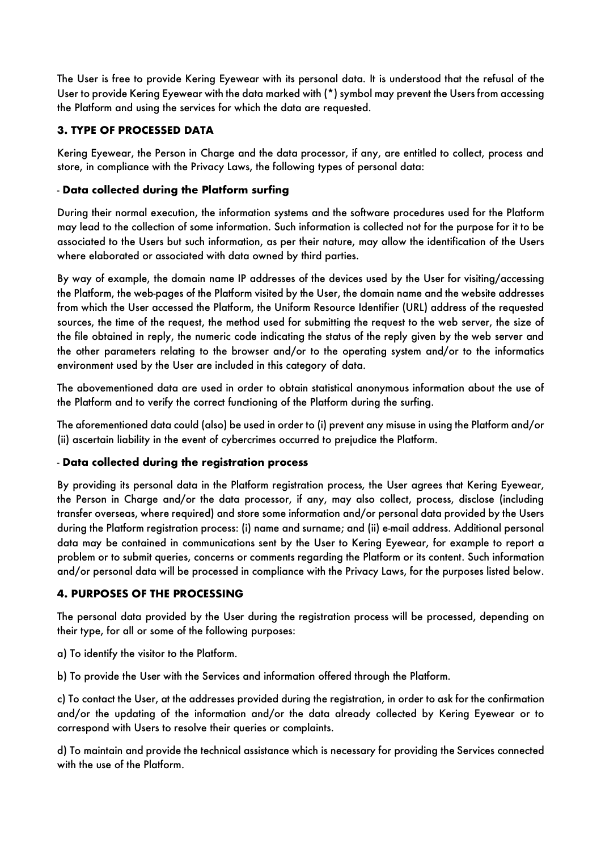The User is free to provide Kering Eyewear with its personal data. It is understood that the refusal of the User to provide Kering Eyewear with the data marked with (\*) symbol may prevent the Users from accessing the Platform and using the services for which the data are requested.

# **3. TYPE OF PROCESSED DATA**

Kering Eyewear, the Person in Charge and the data processor, if any, are entitled to collect, process and store, in compliance with the Privacy Laws, the following types of personal data:

## - **Data collected during the Platform surfing**

During their normal execution, the information systems and the software procedures used for the Platform may lead to the collection of some information. Such information is collected not for the purpose for it to be associated to the Users but such information, as per their nature, may allow the identification of the Users where elaborated or associated with data owned by third parties.

By way of example, the domain name IP addresses of the devices used by the User for visiting/accessing the Platform, the web-pages of the Platform visited by the User, the domain name and the website addresses from which the User accessed the Platform, the Uniform Resource Identifier (URL) address of the requested sources, the time of the request, the method used for submitting the request to the web server, the size of the file obtained in reply, the numeric code indicating the status of the reply given by the web server and the other parameters relating to the browser and/or to the operating system and/or to the informatics environment used by the User are included in this category of data.

The abovementioned data are used in order to obtain statistical anonymous information about the use of the Platform and to verify the correct functioning of the Platform during the surfing.

The aforementioned data could (also) be used in order to (i) prevent any misuse in using the Platform and/or (ii) ascertain liability in the event of cybercrimes occurred to prejudice the Platform.

### - **Data collected during the registration process**

By providing its personal data in the Platform registration process, the User agrees that Kering Eyewear, the Person in Charge and/or the data processor, if any, may also collect, process, disclose (including transfer overseas, where required) and store some information and/or personal data provided by the Users during the Platform registration process: (i) name and surname; and (ii) e-mail address. Additional personal data may be contained in communications sent by the User to Kering Eyewear, for example to report a problem or to submit queries, concerns or comments regarding the Platform or its content. Such information and/or personal data will be processed in compliance with the Privacy Laws, for the purposes listed below.

### **4. PURPOSES OF THE PROCESSING**

The personal data provided by the User during the registration process will be processed, depending on their type, for all or some of the following purposes:

a) To identify the visitor to the Platform.

b) To provide the User with the Services and information offered through the Platform.

c) To contact the User, at the addresses provided during the registration, in order to ask for the confirmation and/or the updating of the information and/or the data already collected by Kering Eyewear or to correspond with Users to resolve their queries or complaints.

d) To maintain and provide the technical assistance which is necessary for providing the Services connected with the use of the Platform.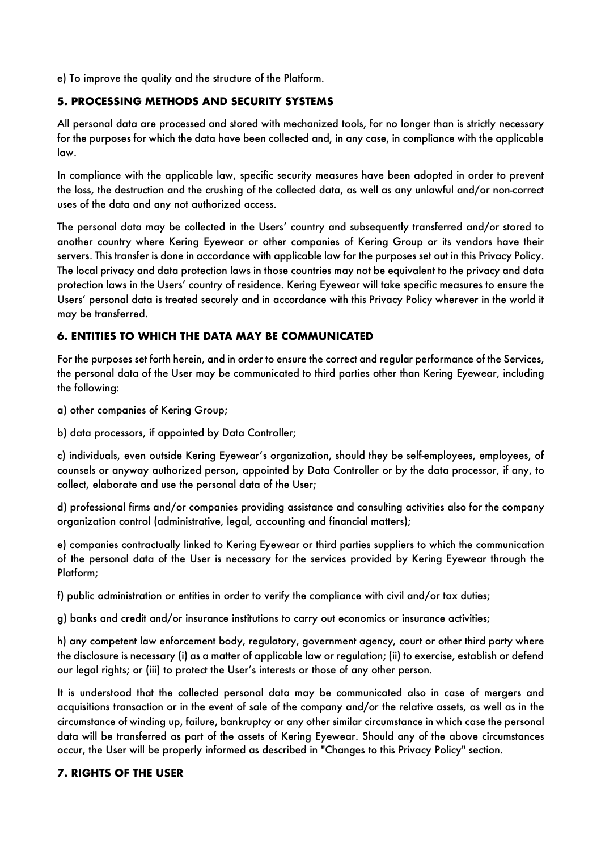e) To improve the quality and the structure of the Platform.

## **5. PROCESSING METHODS AND SECURITY SYSTEMS**

All personal data are processed and stored with mechanized tools, for no longer than is strictly necessary for the purposes for which the data have been collected and, in any case, in compliance with the applicable law.

In compliance with the applicable law, specific security measures have been adopted in order to prevent the loss, the destruction and the crushing of the collected data, as well as any unlawful and/or non-correct uses of the data and any not authorized access.

The personal data may be collected in the Users' country and subsequently transferred and/or stored to another country where Kering Eyewear or other companies of Kering Group or its vendors have their servers. This transfer is done in accordance with applicable law for the purposes set out in this Privacy Policy. The local privacy and data protection laws in those countries may not be equivalent to the privacy and data protection laws in the Users' country of residence. Kering Eyewear will take specific measures to ensure the Users' personal data is treated securely and in accordance with this Privacy Policy wherever in the world it may be transferred.

# **6. ENTITIES TO WHICH THE DATA MAY BE COMMUNICATED**

For the purposes set forth herein, and in order to ensure the correct and regular performance of the Services, the personal data of the User may be communicated to third parties other than Kering Eyewear, including the following:

a) other companies of Kering Group;

b) data processors, if appointed by Data Controller;

c) individuals, even outside Kering Eyewear's organization, should they be self-employees, employees, of counsels or anyway authorized person, appointed by Data Controller or by the data processor, if any, to collect, elaborate and use the personal data of the User;

d) professional firms and/or companies providing assistance and consulting activities also for the company organization control (administrative, legal, accounting and financial matters);

e) companies contractually linked to Kering Eyewear or third parties suppliers to which the communication of the personal data of the User is necessary for the services provided by Kering Eyewear through the Platform;

f) public administration or entities in order to verify the compliance with civil and/or tax duties;

g) banks and credit and/or insurance institutions to carry out economics or insurance activities;

h) any competent law enforcement body, regulatory, government agency, court or other third party where the disclosure is necessary (i) as a matter of applicable law or regulation; (ii) to exercise, establish or defend our legal rights; or (iii) to protect the User's interests or those of any other person.

It is understood that the collected personal data may be communicated also in case of mergers and acquisitions transaction or in the event of sale of the company and/or the relative assets, as well as in the circumstance of winding up, failure, bankruptcy or any other similar circumstance in which case the personal data will be transferred as part of the assets of Kering Eyewear. Should any of the above circumstances occur, the User will be properly informed as described in "Changes to this Privacy Policy" section.

### **7. RIGHTS OF THE USER**